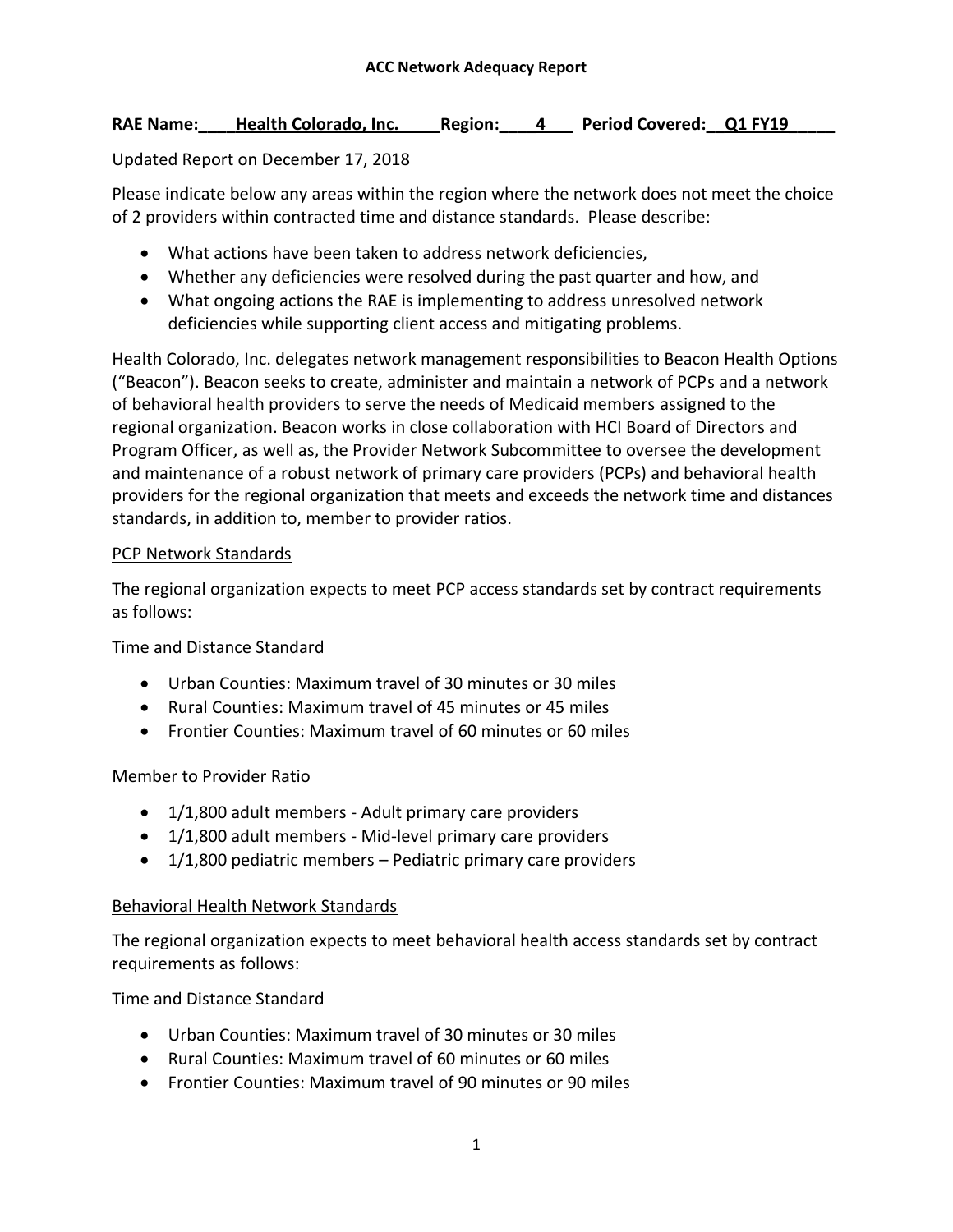#### RAE Name: Health Colorado, Inc. Region: 4 Period Covered: Q1 FY19

## Updated Report on December 17, 2018

Please indicate below any areas within the region where the network does not meet the choice of 2 providers within contracted time and distance standards. Please describe:

- What actions have been taken to address network deficiencies,
- Whether any deficiencies were resolved during the past quarter and how, and
- What ongoing actions the RAE is implementing to address unresolved network deficiencies while supporting client access and mitigating problems.

Health Colorado, Inc. delegates network management responsibilities to Beacon Health Options ("Beacon"). Beacon seeks to create, administer and maintain a network of PCPs and a network of behavioral health providers to serve the needs of Medicaid members assigned to the regional organization. Beacon works in close collaboration with HCI Board of Directors and Program Officer, as well as, the Provider Network Subcommittee to oversee the development and maintenance of a robust network of primary care providers (PCPs) and behavioral health providers for the regional organization that meets and exceeds the network time and distances standards, in addition to, member to provider ratios.

#### PCP Network Standards

The regional organization expects to meet PCP access standards set by contract requirements as follows:

Time and Distance Standard

- Urban Counties: Maximum travel of 30 minutes or 30 miles
- Rural Counties: Maximum travel of 45 minutes or 45 miles
- Frontier Counties: Maximum travel of 60 minutes or 60 miles

# Member to Provider Ratio

- 1/1,800 adult members Adult primary care providers
- 1/1,800 adult members Mid-level primary care providers
- $\bullet$  1/1,800 pediatric members Pediatric primary care providers

#### Behavioral Health Network Standards

The regional organization expects to meet behavioral health access standards set by contract requirements as follows:

Time and Distance Standard

- Urban Counties: Maximum travel of 30 minutes or 30 miles
- Rural Counties: Maximum travel of 60 minutes or 60 miles
- Frontier Counties: Maximum travel of 90 minutes or 90 miles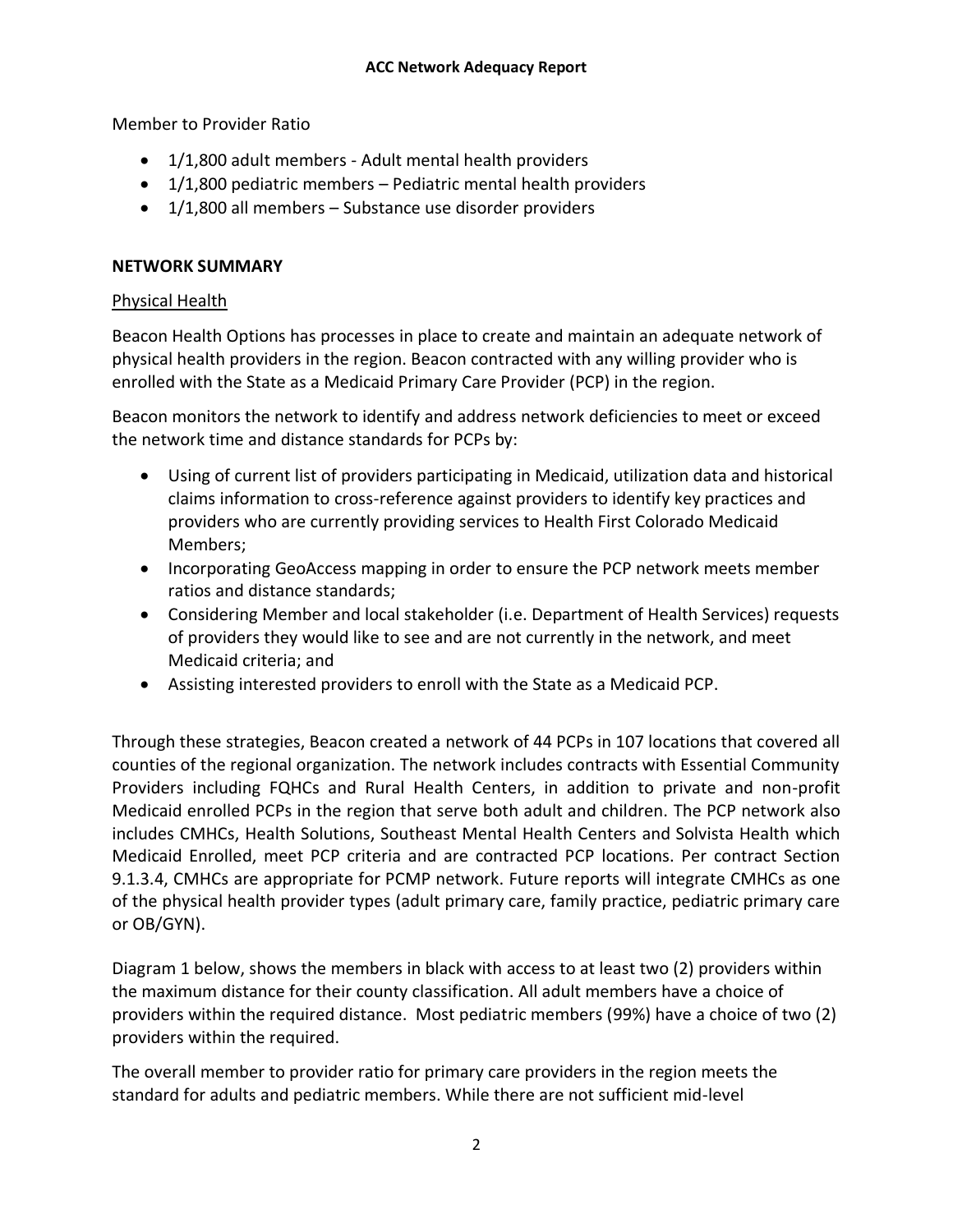Member to Provider Ratio

- 1/1,800 adult members Adult mental health providers
- $\bullet$  1/1,800 pediatric members Pediatric mental health providers
- 1/1,800 all members Substance use disorder providers

#### **NETWORK SUMMARY**

#### Physical Health

Beacon Health Options has processes in place to create and maintain an adequate network of physical health providers in the region. Beacon contracted with any willing provider who is enrolled with the State as a Medicaid Primary Care Provider (PCP) in the region.

Beacon monitors the network to identify and address network deficiencies to meet or exceed the network time and distance standards for PCPs by:

- Using of current list of providers participating in Medicaid, utilization data and historical claims information to cross-reference against providers to identify key practices and providers who are currently providing services to Health First Colorado Medicaid Members;
- Incorporating GeoAccess mapping in order to ensure the PCP network meets member ratios and distance standards;
- Considering Member and local stakeholder (i.e. Department of Health Services) requests of providers they would like to see and are not currently in the network, and meet Medicaid criteria; and
- Assisting interested providers to enroll with the State as a Medicaid PCP.

Through these strategies, Beacon created a network of 44 PCPs in 107 locations that covered all counties of the regional organization. The network includes contracts with Essential Community Providers including FQHCs and Rural Health Centers, in addition to private and non-profit Medicaid enrolled PCPs in the region that serve both adult and children. The PCP network also includes CMHCs, Health Solutions, Southeast Mental Health Centers and Solvista Health which Medicaid Enrolled, meet PCP criteria and are contracted PCP locations. Per contract Section 9.1.3.4, CMHCs are appropriate for PCMP network. Future reports will integrate CMHCs as one of the physical health provider types (adult primary care, family practice, pediatric primary care or OB/GYN).

Diagram 1 below, shows the members in black with access to at least two (2) providers within the maximum distance for their county classification. All adult members have a choice of providers within the required distance. Most pediatric members (99%) have a choice of two (2) providers within the required.

The overall member to provider ratio for primary care providers in the region meets the standard for adults and pediatric members. While there are not sufficient mid-level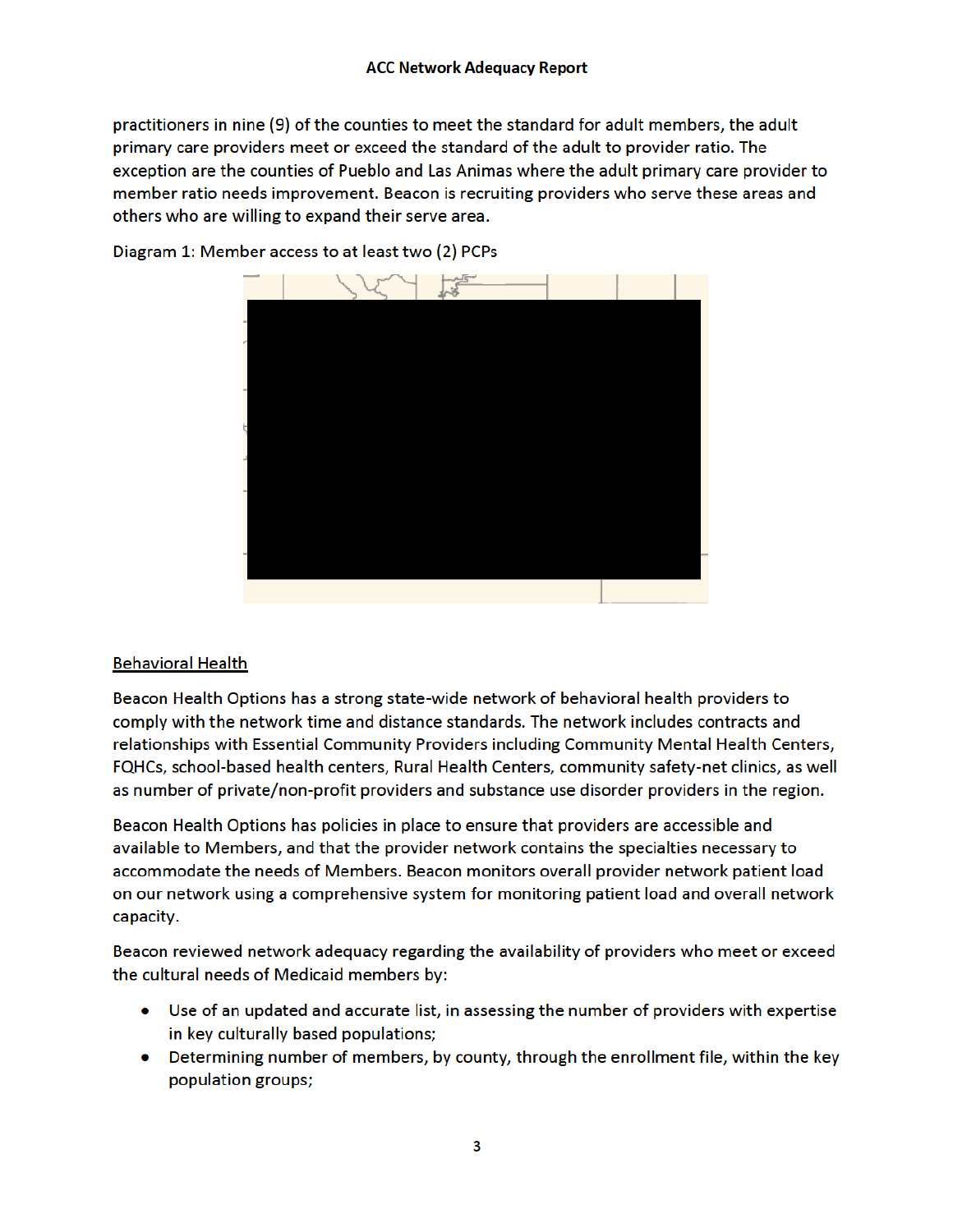practitioners in nine (9) of the counties to meet the standard for adult members, the adult primary care providers meet or exceed the standard of the adult to provider ratio. The exception are the counties of Pueblo and Las Animas where the adult primary care provider to member ratio needs improvement. Beacon is recruiting providers who serve these areas and others who are willing to expand their serve area.



Diagram 1: Member access to at least two (2) PCPs

#### **Behavioral Health**

Beacon Health Options has a strong state-wide network of behavioral health providers to comply with the network time and distance standards. The network includes contracts and relationships with Essential Community Providers including Community Mental Health Centers, FQHCs, school-based health centers, Rural Health Centers, community safety-net clinics, as well as number of private/non-profit providers and substance use disorder providers in the region.

Beacon Health Options has policies in place to ensure that providers are accessible and available to Members, and that the provider network contains the specialties necessary to accommodate the needs of Members. Beacon monitors overall provider network patient load on our network using a comprehensive system for monitoring patient load and overall network capacity.

Beacon reviewed network adequacy regarding the availability of providers who meet or exceed the cultural needs of Medicaid members by:

- Use of an updated and accurate list, in assessing the number of providers with expertise in key culturally based populations;
- Determining number of members, by county, through the enrollment file, within the key population groups;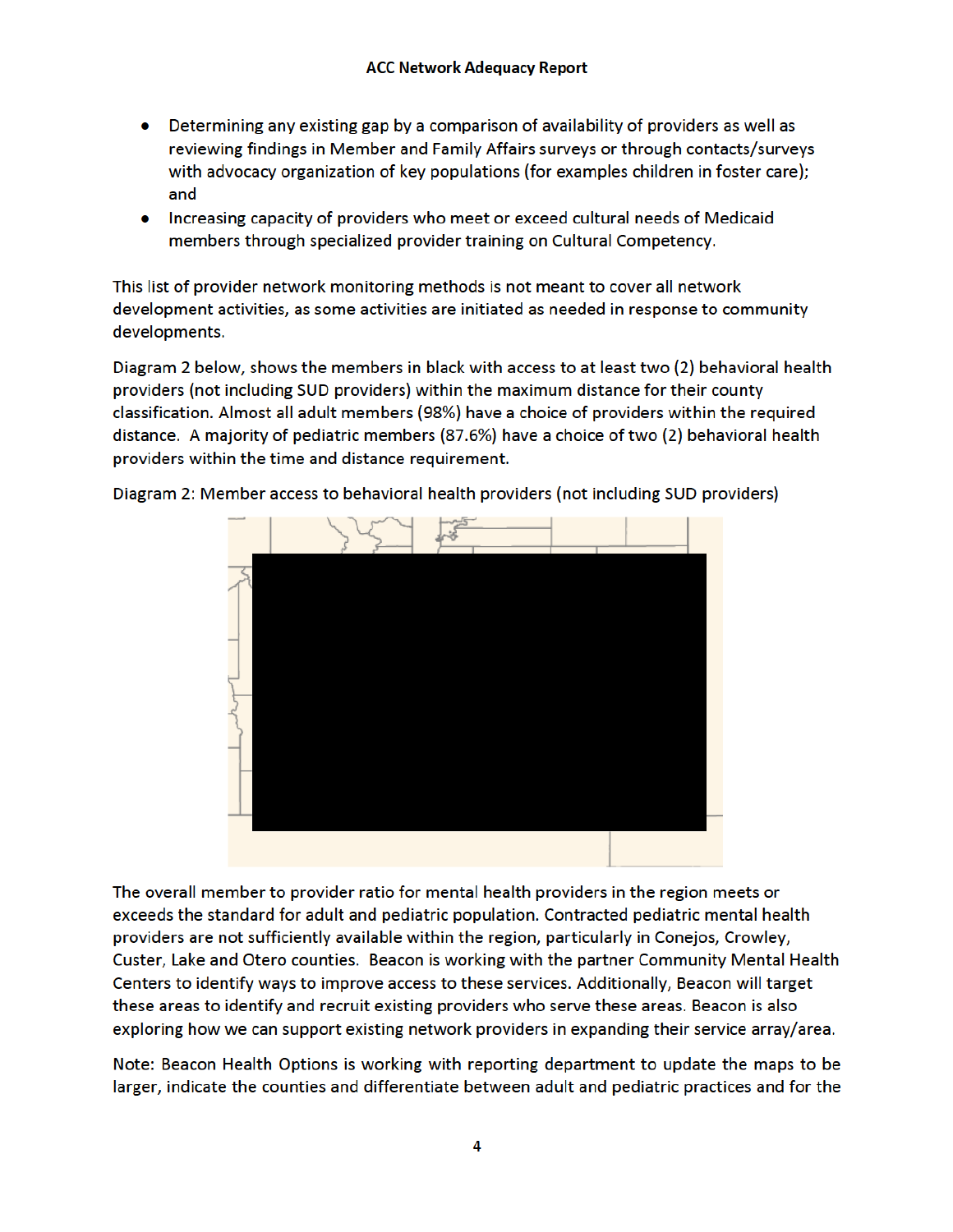- Determining any existing gap by a comparison of availability of providers as well as reviewing findings in Member and Family Affairs surveys or through contacts/surveys with advocacy organization of key populations (for examples children in foster care); and
- Increasing capacity of providers who meet or exceed cultural needs of Medicaid members through specialized provider training on Cultural Competency.

This list of provider network monitoring methods is not meant to cover all network development activities, as some activities are initiated as needed in response to community developments.

Diagram 2 below, shows the members in black with access to at least two (2) behavioral health providers (not including SUD providers) within the maximum distance for their county classification. Almost all adult members (98%) have a choice of providers within the required distance. A majority of pediatric members (87.6%) have a choice of two (2) behavioral health providers within the time and distance requirement.



Diagram 2: Member access to behavioral health providers (not including SUD providers)

The overall member to provider ratio for mental health providers in the region meets or exceeds the standard for adult and pediatric population. Contracted pediatric mental health providers are not sufficiently available within the region, particularly in Conejos, Crowley, Custer, Lake and Otero counties. Beacon is working with the partner Community Mental Health Centers to identify ways to improve access to these services. Additionally, Beacon will target these areas to identify and recruit existing providers who serve these areas. Beacon is also exploring how we can support existing network providers in expanding their service array/area.

Note: Beacon Health Options is working with reporting department to update the maps to be larger, indicate the counties and differentiate between adult and pediatric practices and for the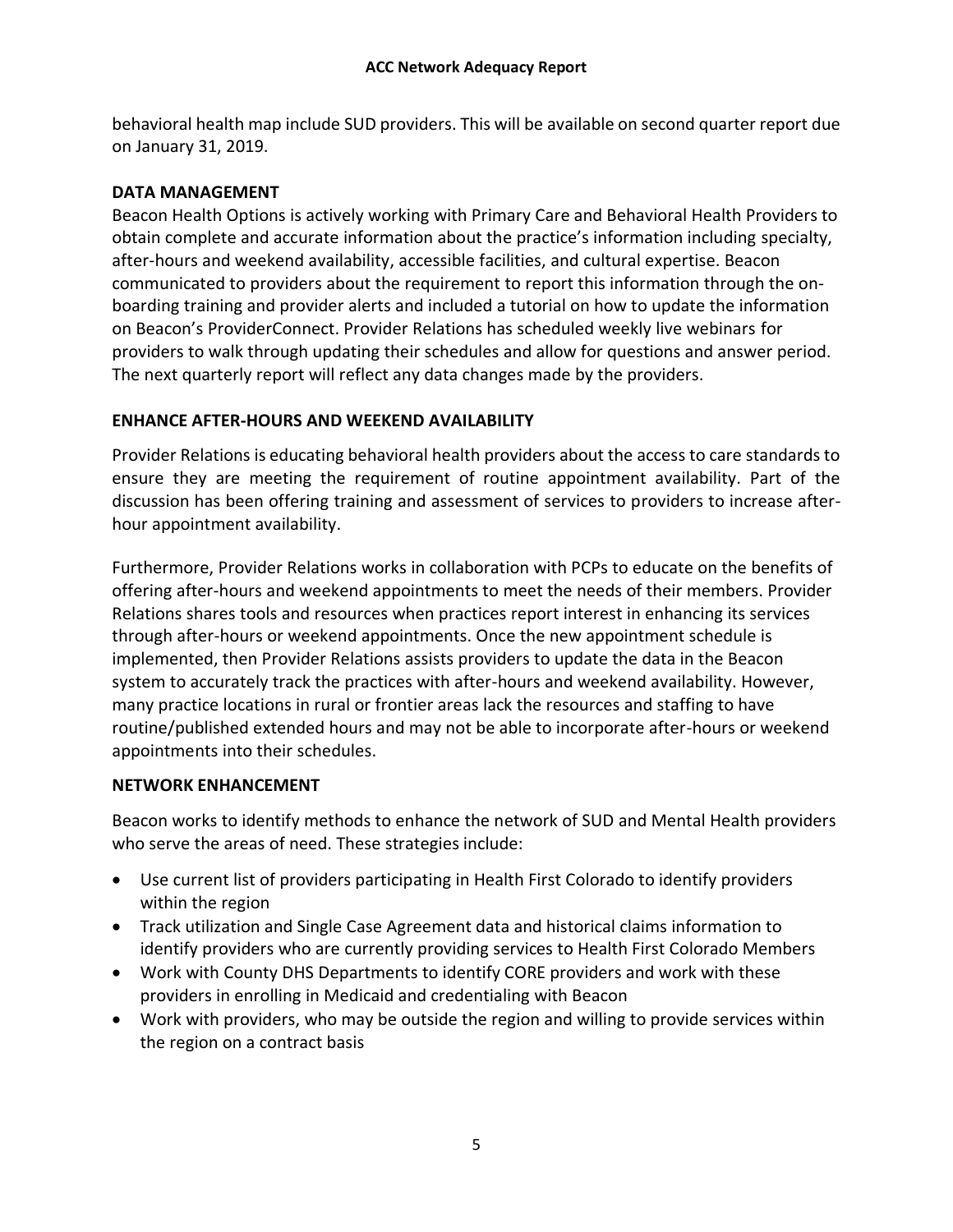behavioral health map include SUD providers. This will be available on second quarter report due on January 31, 2019.

# **DATA MANAGEMENT**

Beacon Health Options is actively working with Primary Care and Behavioral Health Providers to obtain complete and accurate information about the practice's information including specialty, after-hours and weekend availability, accessible facilities, and cultural expertise. Beacon communicated to providers about the requirement to report this information through the onboarding training and provider alerts and included a tutorial on how to update the information on Beacon's ProviderConnect. Provider Relations has scheduled weekly live webinars for providers to walk through updating their schedules and allow for questions and answer period. The next quarterly report will reflect any data changes made by the providers.

# **ENHANCE AFTER-HOURS AND WEEKEND AVAILABILITY**

Provider Relations is educating behavioral health providers about the access to care standards to ensure they are meeting the requirement of routine appointment availability. Part of the discussion has been offering training and assessment of services to providers to increase afterhour appointment availability.

Furthermore, Provider Relations works in collaboration with PCPs to educate on the benefits of offering after-hours and weekend appointments to meet the needs of their members. Provider Relations shares tools and resources when practices report interest in enhancing its services through after-hours or weekend appointments. Once the new appointment schedule is implemented, then Provider Relations assists providers to update the data in the Beacon system to accurately track the practices with after-hours and weekend availability. However, many practice locations in rural or frontier areas lack the resources and staffing to have routine/published extended hours and may not be able to incorporate after-hours or weekend appointments into their schedules.

#### **NETWORK ENHANCEMENT**

Beacon works to identify methods to enhance the network of SUD and Mental Health providers who serve the areas of need. These strategies include:

- Use current list of providers participating in Health First Colorado to identify providers within the region
- Track utilization and Single Case Agreement data and historical claims information to identify providers who are currently providing services to Health First Colorado Members
- Work with County DHS Departments to identify CORE providers and work with these providers in enrolling in Medicaid and credentialing with Beacon
- Work with providers, who may be outside the region and willing to provide services within the region on a contract basis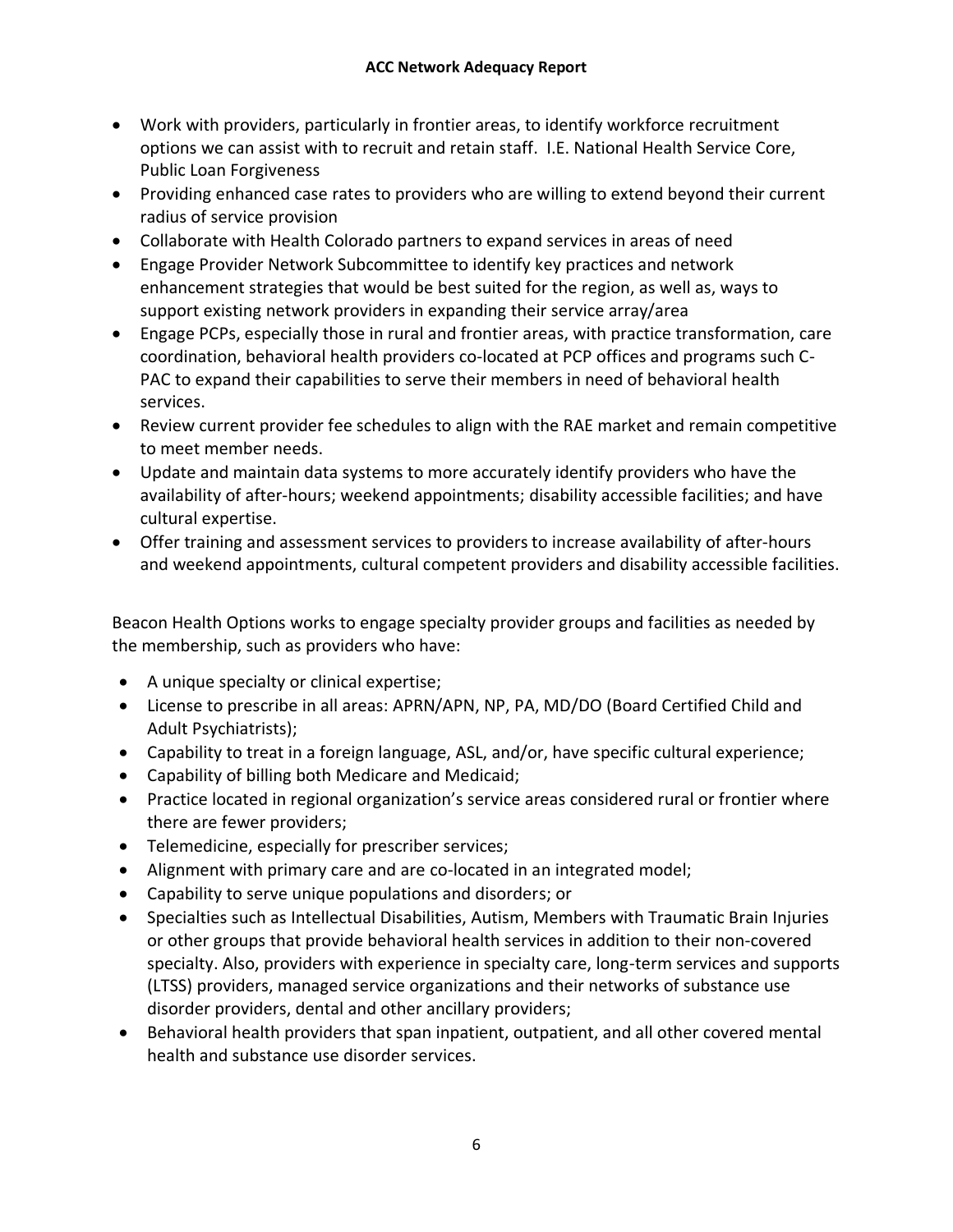- Work with providers, particularly in frontier areas, to identify workforce recruitment options we can assist with to recruit and retain staff. I.E. National Health Service Core, Public Loan Forgiveness
- Providing enhanced case rates to providers who are willing to extend beyond their current radius of service provision
- Collaborate with Health Colorado partners to expand services in areas of need
- Engage Provider Network Subcommittee to identify key practices and network enhancement strategies that would be best suited for the region, as well as, ways to support existing network providers in expanding their service array/area
- Engage PCPs, especially those in rural and frontier areas, with practice transformation, care coordination, behavioral health providers co-located at PCP offices and programs such C-PAC to expand their capabilities to serve their members in need of behavioral health services.
- Review current provider fee schedules to align with the RAE market and remain competitive to meet member needs.
- Update and maintain data systems to more accurately identify providers who have the availability of after-hours; weekend appointments; disability accessible facilities; and have cultural expertise.
- Offer training and assessment services to providers to increase availability of after-hours and weekend appointments, cultural competent providers and disability accessible facilities.

Beacon Health Options works to engage specialty provider groups and facilities as needed by the membership, such as providers who have:

- A unique specialty or clinical expertise;
- License to prescribe in all areas: APRN/APN, NP, PA, MD/DO (Board Certified Child and Adult Psychiatrists);
- Capability to treat in a foreign language, ASL, and/or, have specific cultural experience;
- Capability of billing both Medicare and Medicaid;
- Practice located in regional organization's service areas considered rural or frontier where there are fewer providers;
- Telemedicine, especially for prescriber services;
- Alignment with primary care and are co-located in an integrated model;
- Capability to serve unique populations and disorders; or
- Specialties such as Intellectual Disabilities, Autism, Members with Traumatic Brain Injuries or other groups that provide behavioral health services in addition to their non-covered specialty. Also, providers with experience in specialty care, long-term services and supports (LTSS) providers, managed service organizations and their networks of substance use disorder providers, dental and other ancillary providers;
- Behavioral health providers that span inpatient, outpatient, and all other covered mental health and substance use disorder services.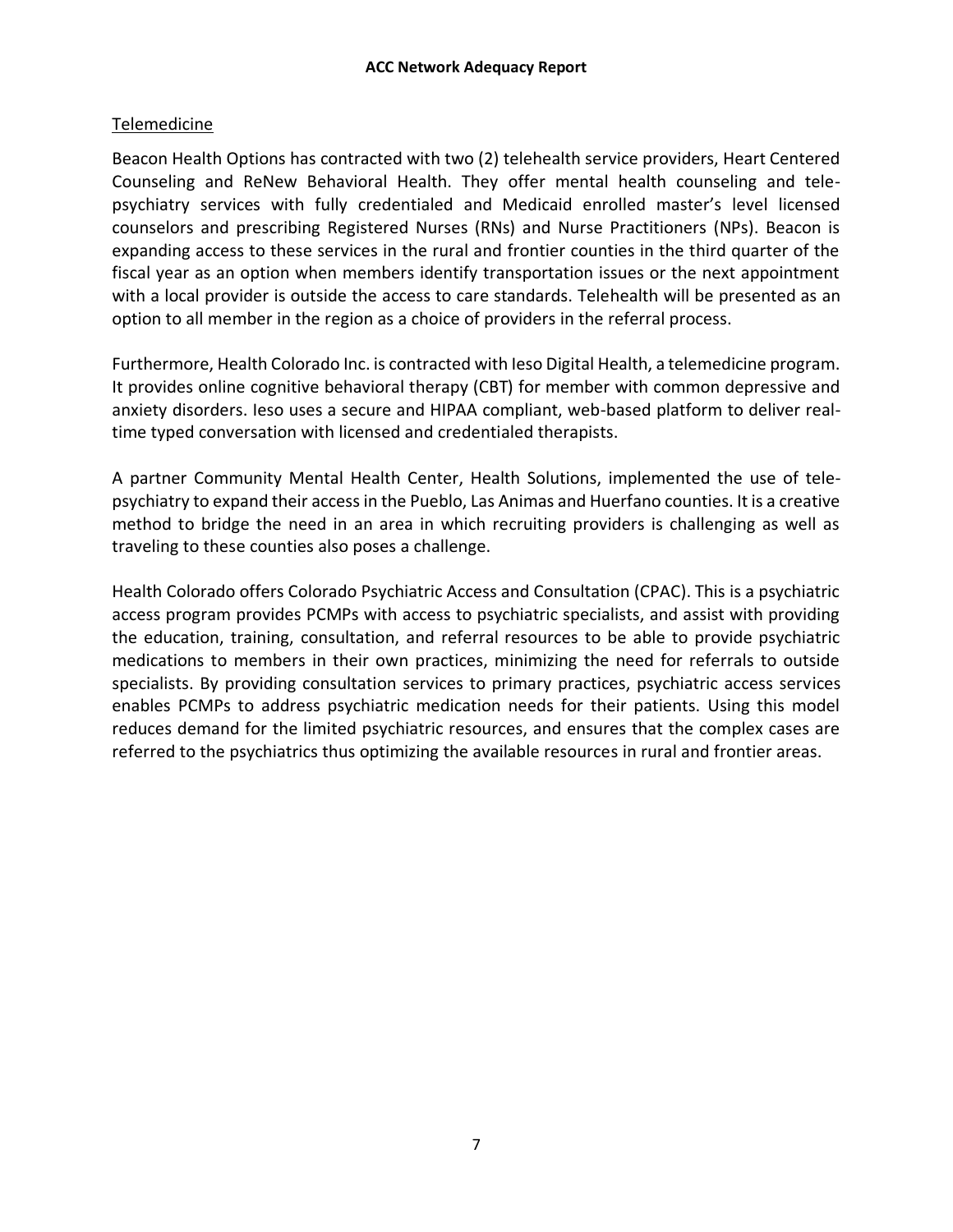# Telemedicine

Beacon Health Options has contracted with two (2) telehealth service providers, Heart Centered Counseling and ReNew Behavioral Health. They offer mental health counseling and telepsychiatry services with fully credentialed and Medicaid enrolled master's level licensed counselors and prescribing Registered Nurses (RNs) and Nurse Practitioners (NPs). Beacon is expanding access to these services in the rural and frontier counties in the third quarter of the fiscal year as an option when members identify transportation issues or the next appointment with a local provider is outside the access to care standards. Telehealth will be presented as an option to all member in the region as a choice of providers in the referral process.

Furthermore, Health Colorado Inc. is contracted with Ieso Digital Health, a telemedicine program. It provides online cognitive behavioral therapy (CBT) for member with common depressive and anxiety disorders. Ieso uses a secure and HIPAA compliant, web-based platform to deliver realtime typed conversation with licensed and credentialed therapists.

A partner Community Mental Health Center, Health Solutions, implemented the use of telepsychiatry to expand their access in the Pueblo, Las Animas and Huerfano counties. It is a creative method to bridge the need in an area in which recruiting providers is challenging as well as traveling to these counties also poses a challenge.

Health Colorado offers Colorado Psychiatric Access and Consultation (CPAC). This is a psychiatric access program provides PCMPs with access to psychiatric specialists, and assist with providing the education, training, consultation, and referral resources to be able to provide psychiatric medications to members in their own practices, minimizing the need for referrals to outside specialists. By providing consultation services to primary practices, psychiatric access services enables PCMPs to address psychiatric medication needs for their patients. Using this model reduces demand for the limited psychiatric resources, and ensures that the complex cases are referred to the psychiatrics thus optimizing the available resources in rural and frontier areas.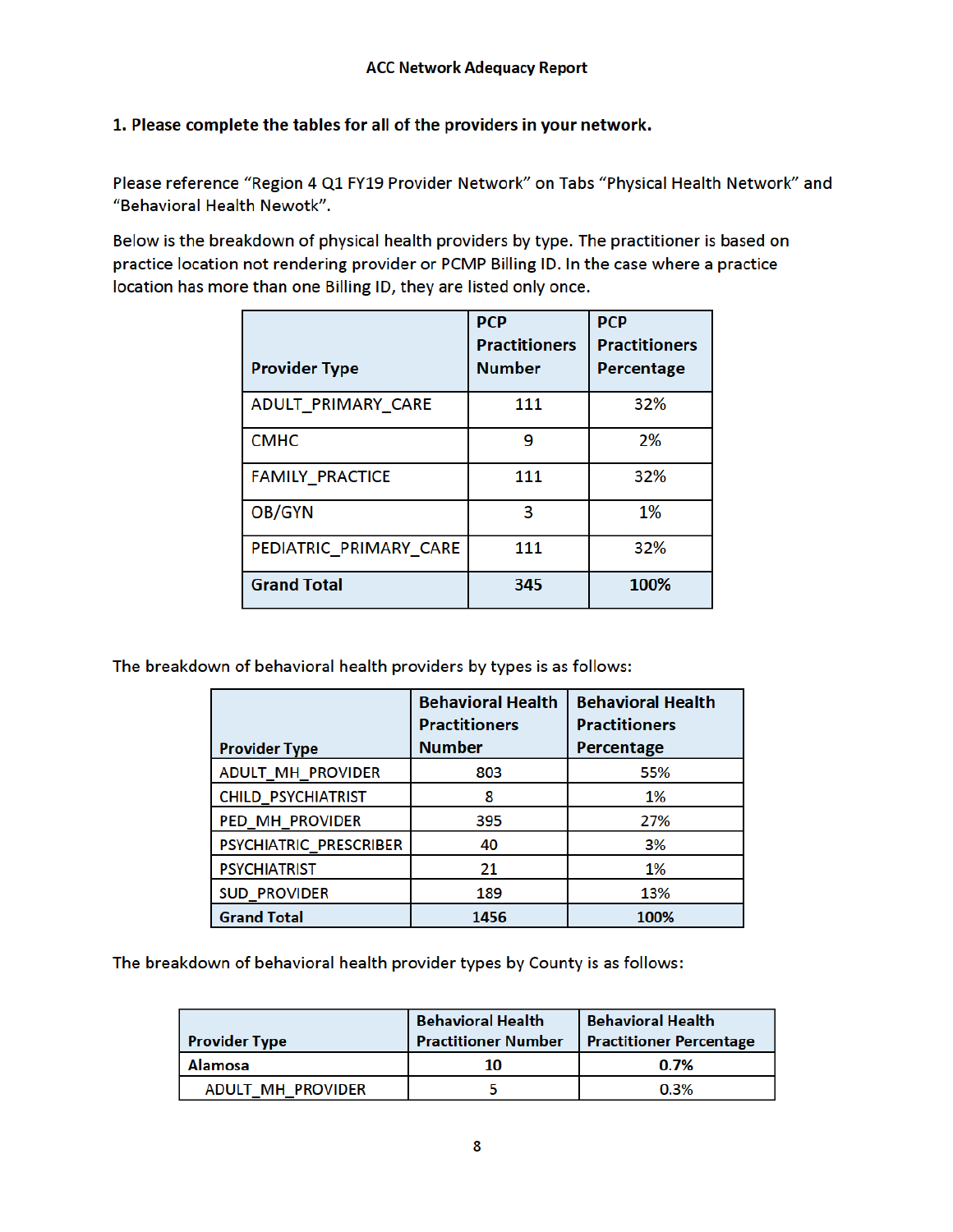# 1. Please complete the tables for all of the providers in your network.

Please reference "Region 4 Q1 FY19 Provider Network" on Tabs "Physical Health Network" and "Behavioral Health Newotk".

Below is the breakdown of physical health providers by type. The practitioner is based on practice location not rendering provider or PCMP Billing ID. In the case where a practice location has more than one Billing ID, they are listed only once.

| <b>Provider Type</b>   | <b>PCP</b><br><b>Practitioners</b><br><b>Number</b> | <b>PCP</b><br><b>Practitioners</b><br>Percentage |
|------------------------|-----------------------------------------------------|--------------------------------------------------|
| ADULT PRIMARY CARE     | 111                                                 | 32%                                              |
| <b>CMHC</b>            | 9                                                   | 2%                                               |
| <b>FAMILY PRACTICE</b> | 111                                                 | 32%                                              |
| OB/GYN                 | 3                                                   | 1%                                               |
| PEDIATRIC PRIMARY CARE | 111                                                 | 32%                                              |
| <b>Grand Total</b>     | 345                                                 | 100%                                             |

The breakdown of behavioral health providers by types is as follows:

|                           | <b>Behavioral Health</b><br><b>Practitioners</b> | <b>Behavioral Health</b><br><b>Practitioners</b> |
|---------------------------|--------------------------------------------------|--------------------------------------------------|
| <b>Provider Type</b>      | <b>Number</b>                                    | Percentage                                       |
| <b>ADULT_MH_PROVIDER</b>  | 803                                              | 55%                                              |
| <b>CHILD_PSYCHIATRIST</b> | 8                                                | 1%                                               |
| PED_MH_PROVIDER           | 395                                              | 27%                                              |
| PSYCHIATRIC_PRESCRIBER    | 40                                               | 3%                                               |
| <b>PSYCHIATRIST</b>       | 21                                               | 1%                                               |
| <b>SUD_PROVIDER</b>       | 189                                              | 13%                                              |
| <b>Grand Total</b>        | 1456                                             | 100%                                             |

The breakdown of behavioral health provider types by County is as follows:

| <b>Provider Type</b> | <b>Behavioral Health</b><br><b>Practitioner Number</b> | <b>Behavioral Health</b><br>Practitioner Percentage |
|----------------------|--------------------------------------------------------|-----------------------------------------------------|
| <b>Alamosa</b>       | 10                                                     | 0.7%                                                |
| ADULT MH PROVIDER    |                                                        | 0.3%                                                |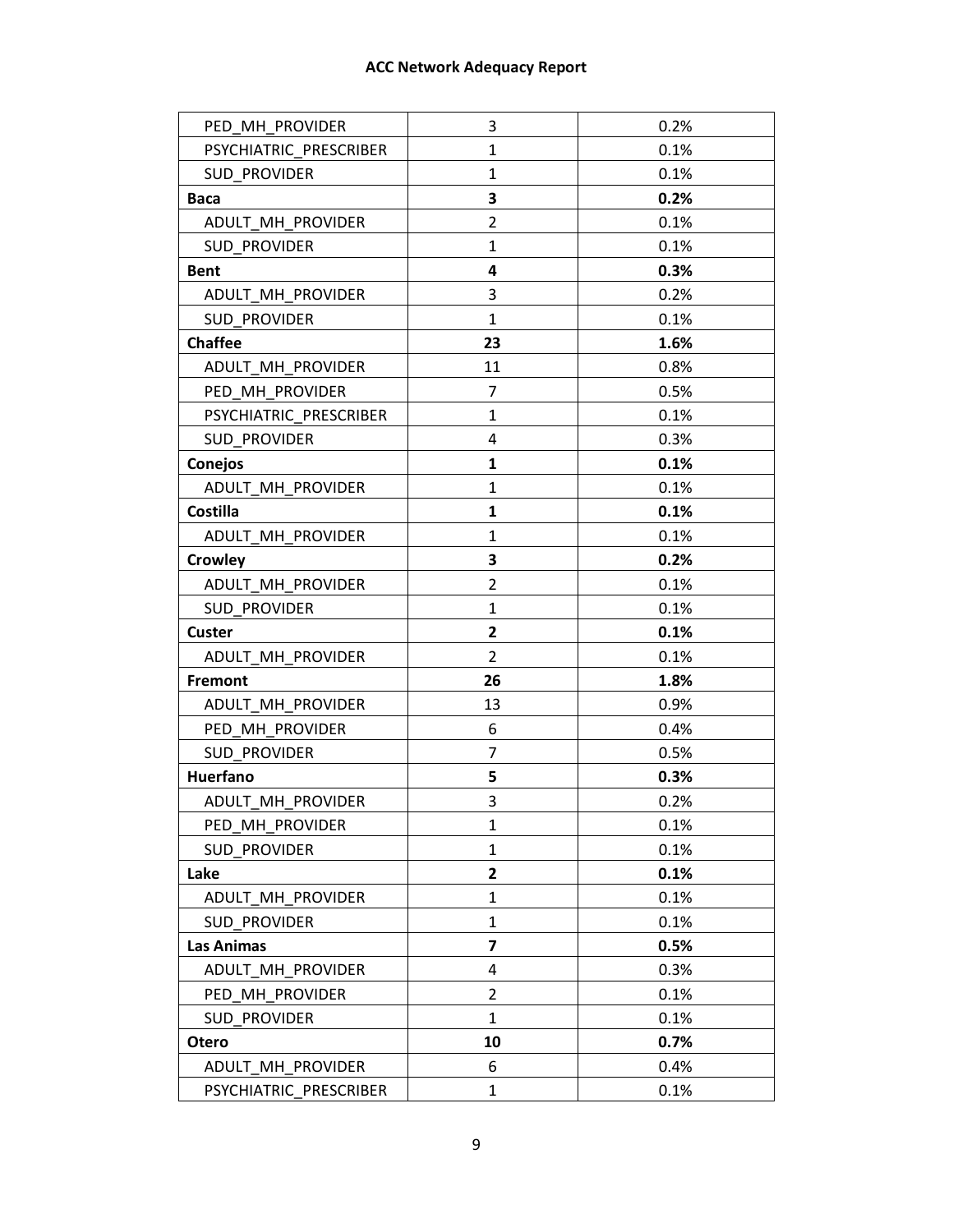# **ACC Network Adequacy Report**

| PED MH PROVIDER        | 3              | 0.2% |
|------------------------|----------------|------|
| PSYCHIATRIC PRESCRIBER | $\mathbf{1}$   | 0.1% |
| <b>SUD PROVIDER</b>    | $\mathbf{1}$   | 0.1% |
| <b>Baca</b>            | 3              | 0.2% |
| ADULT MH PROVIDER      | 2              | 0.1% |
| <b>SUD PROVIDER</b>    | 1              | 0.1% |
| <b>Bent</b>            | 4              | 0.3% |
| ADULT MH PROVIDER      | 3              | 0.2% |
| <b>SUD PROVIDER</b>    | $\mathbf{1}$   | 0.1% |
| <b>Chaffee</b>         | 23             | 1.6% |
| ADULT MH PROVIDER      | 11             | 0.8% |
| PED MH PROVIDER        | 7              | 0.5% |
| PSYCHIATRIC PRESCRIBER | $\mathbf{1}$   | 0.1% |
| <b>SUD PROVIDER</b>    | 4              | 0.3% |
| Conejos                | 1              | 0.1% |
| ADULT MH PROVIDER      | 1              | 0.1% |
| <b>Costilla</b>        | $\mathbf{1}$   | 0.1% |
| ADULT MH PROVIDER      | 1              | 0.1% |
| <b>Crowley</b>         | 3              | 0.2% |
| ADULT MH PROVIDER      | $\overline{2}$ | 0.1% |
| <b>SUD PROVIDER</b>    | $\mathbf{1}$   | 0.1% |
| Custer                 | 2              | 0.1% |
| ADULT MH PROVIDER      | $\overline{2}$ | 0.1% |
| <b>Fremont</b>         | 26             | 1.8% |
| ADULT MH PROVIDER      | 13             | 0.9% |
| PED MH PROVIDER        | 6              | 0.4% |
| <b>SUD PROVIDER</b>    | 7              | 0.5% |
| <b>Huerfano</b>        | 5              | 0.3% |
| ADULT MH PROVIDER      | 3              | 0.2% |
| PED MH PROVIDER        | 1              | 0.1% |
| <b>SUD PROVIDER</b>    | $\mathbf{1}$   | 0.1% |
| Lake                   | $\overline{2}$ | 0.1% |
| ADULT MH PROVIDER      | $\mathbf{1}$   | 0.1% |
| <b>SUD PROVIDER</b>    | 1              | 0.1% |
| Las Animas             | 7              | 0.5% |
| ADULT MH PROVIDER      | 4              | 0.3% |
| PED MH PROVIDER        | $\overline{2}$ | 0.1% |
| <b>SUD PROVIDER</b>    | $\mathbf{1}$   | 0.1% |
| <b>Otero</b>           | 10             | 0.7% |
| ADULT MH PROVIDER      | 6              | 0.4% |
| PSYCHIATRIC PRESCRIBER | $\mathbf{1}$   | 0.1% |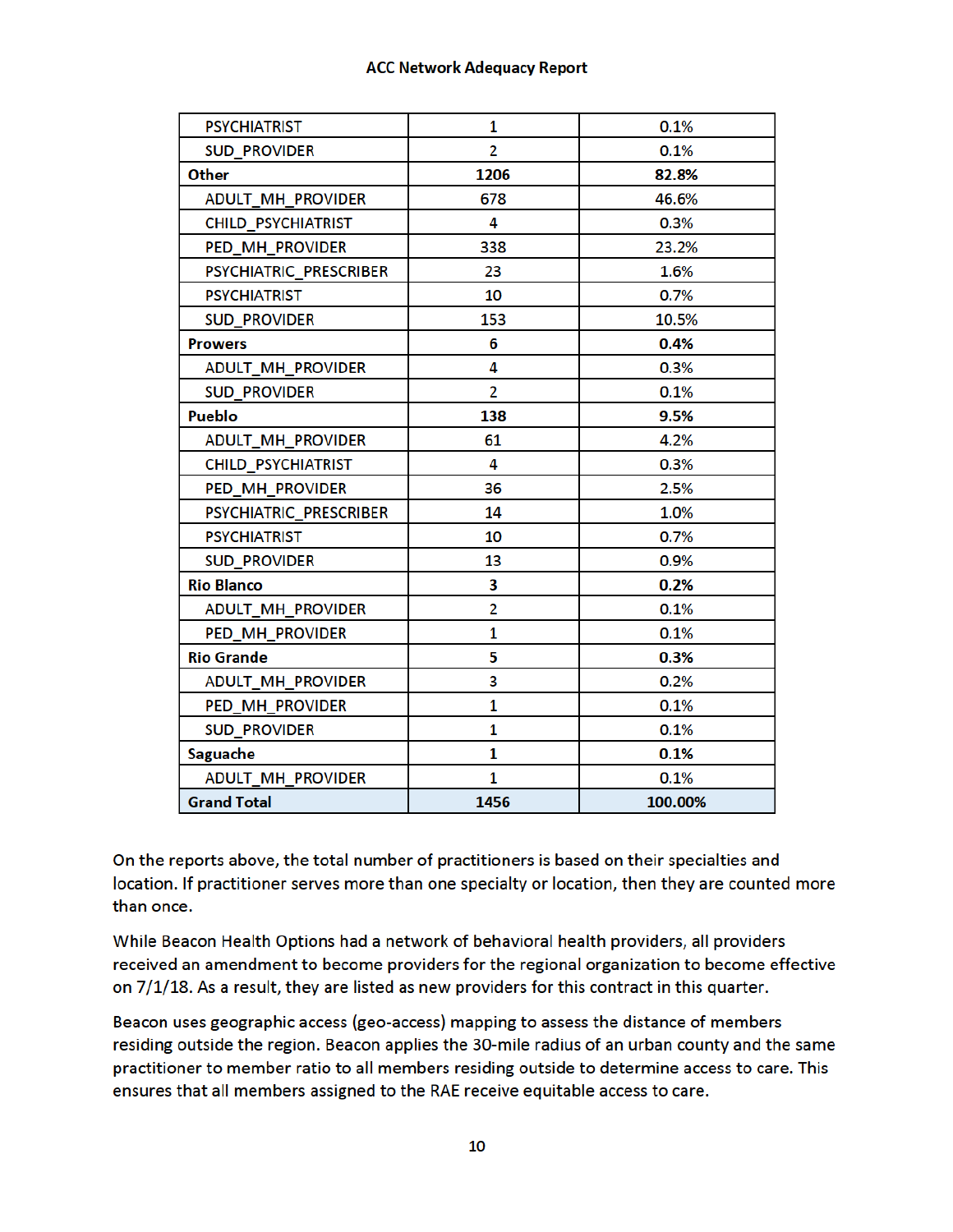| <b>PSYCHIATRIST</b>       | 1              | 0.1%    |
|---------------------------|----------------|---------|
| <b>SUD PROVIDER</b>       | $\overline{2}$ | 0.1%    |
| Other                     | 1206           | 82.8%   |
| <b>ADULT MH PROVIDER</b>  | 678            | 46.6%   |
| <b>CHILD PSYCHIATRIST</b> | 4              | 0.3%    |
| <b>PED MH PROVIDER</b>    | 338            | 23.2%   |
| PSYCHIATRIC_PRESCRIBER    | 23             | 1.6%    |
| <b>PSYCHIATRIST</b>       | 10             | 0.7%    |
| <b>SUD_PROVIDER</b>       | 153            | 10.5%   |
| <b>Prowers</b>            | 6              | 0.4%    |
| ADULT_MH_PROVIDER         | 4              | 0.3%    |
| <b>SUD_PROVIDER</b>       | $\overline{2}$ | 0.1%    |
| <b>Pueblo</b>             | 138            | 9.5%    |
| <b>ADULT_MH_PROVIDER</b>  | 61             | 4.2%    |
| <b>CHILD_PSYCHIATRIST</b> | 4              | 0.3%    |
| PED MH PROVIDER           | 36             | 2.5%    |
| PSYCHIATRIC_PRESCRIBER    | 14             | 1.0%    |
| <b>PSYCHIATRIST</b>       | 10             | 0.7%    |
| <b>SUD PROVIDER</b>       | 13             | 0.9%    |
| <b>Rio Blanco</b>         | З              | 0.2%    |
| ADULT_MH_PROVIDER         | $\overline{2}$ | 0.1%    |
| PED MH PROVIDER           | 1              | 0.1%    |
| <b>Rio Grande</b>         | 5              | 0.3%    |
| ADULT_MH_PROVIDER         | 3              | 0.2%    |
| PED_MH_PROVIDER           | 1              | 0.1%    |
| <b>SUD PROVIDER</b>       | 1              | 0.1%    |
| <b>Saguache</b>           | 1              | 0.1%    |
| ADULT_MH_PROVIDER         | 1              | 0.1%    |
| <b>Grand Total</b>        | 1456           | 100.00% |

On the reports above, the total number of practitioners is based on their specialties and location. If practitioner serves more than one specialty or location, then they are counted more than once.

While Beacon Health Options had a network of behavioral health providers, all providers received an amendment to become providers for the regional organization to become effective on 7/1/18. As a result, they are listed as new providers for this contract in this quarter.

Beacon uses geographic access (geo-access) mapping to assess the distance of members residing outside the region. Beacon applies the 30-mile radius of an urban county and the same practitioner to member ratio to all members residing outside to determine access to care. This ensures that all members assigned to the RAE receive equitable access to care.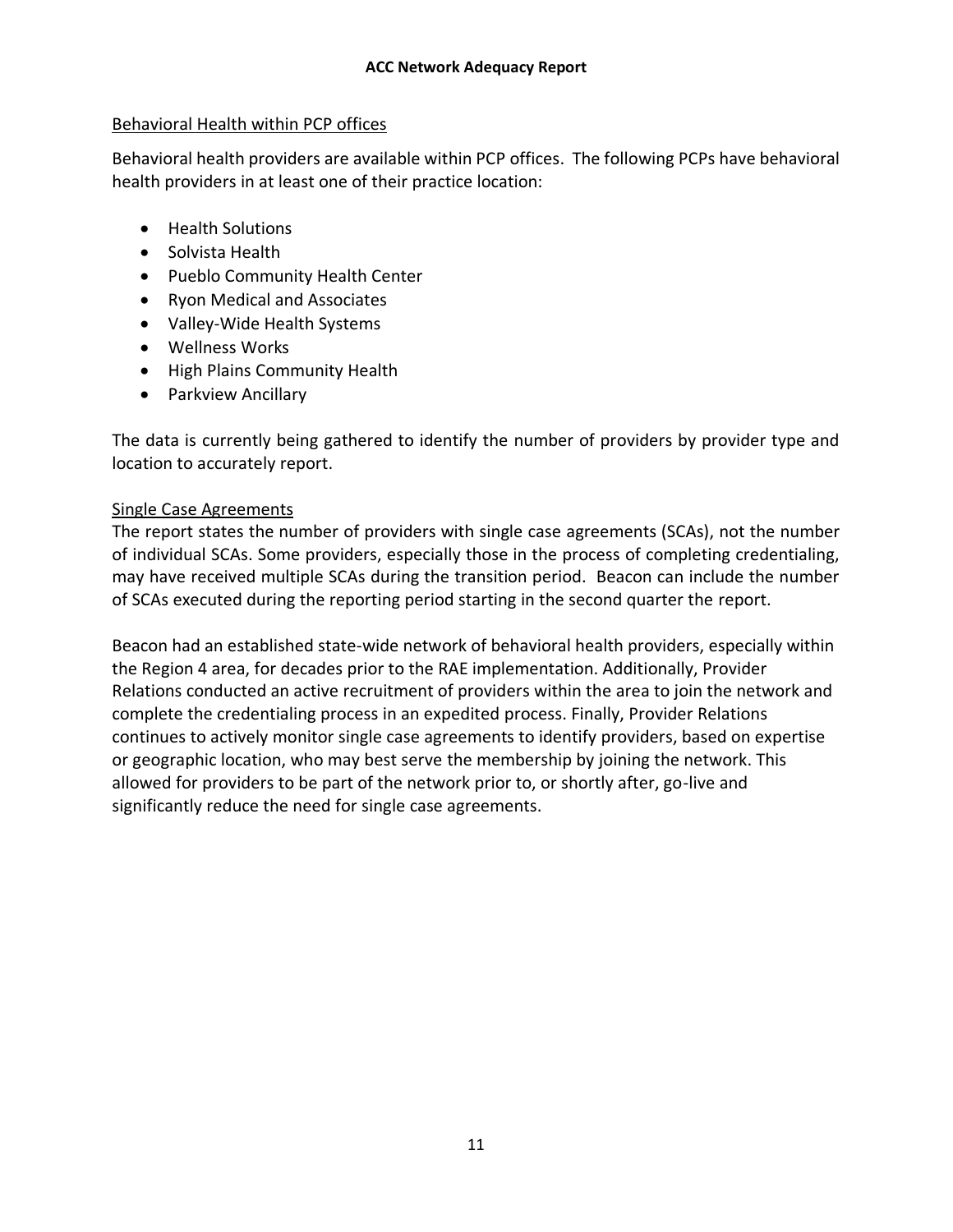## Behavioral Health within PCP offices

Behavioral health providers are available within PCP offices. The following PCPs have behavioral health providers in at least one of their practice location:

- Health Solutions
- Solvista Health
- Pueblo Community Health Center
- Ryon Medical and Associates
- Valley-Wide Health Systems
- Wellness Works
- High Plains Community Health
- Parkview Ancillary

The data is currently being gathered to identify the number of providers by provider type and location to accurately report.

# Single Case Agreements

The report states the number of providers with single case agreements (SCAs), not the number of individual SCAs. Some providers, especially those in the process of completing credentialing, may have received multiple SCAs during the transition period. Beacon can include the number of SCAs executed during the reporting period starting in the second quarter the report.

Beacon had an established state-wide network of behavioral health providers, especially within the Region 4 area, for decades prior to the RAE implementation. Additionally, Provider Relations conducted an active recruitment of providers within the area to join the network and complete the credentialing process in an expedited process. Finally, Provider Relations continues to actively monitor single case agreements to identify providers, based on expertise or geographic location, who may best serve the membership by joining the network. This allowed for providers to be part of the network prior to, or shortly after, go-live and significantly reduce the need for single case agreements.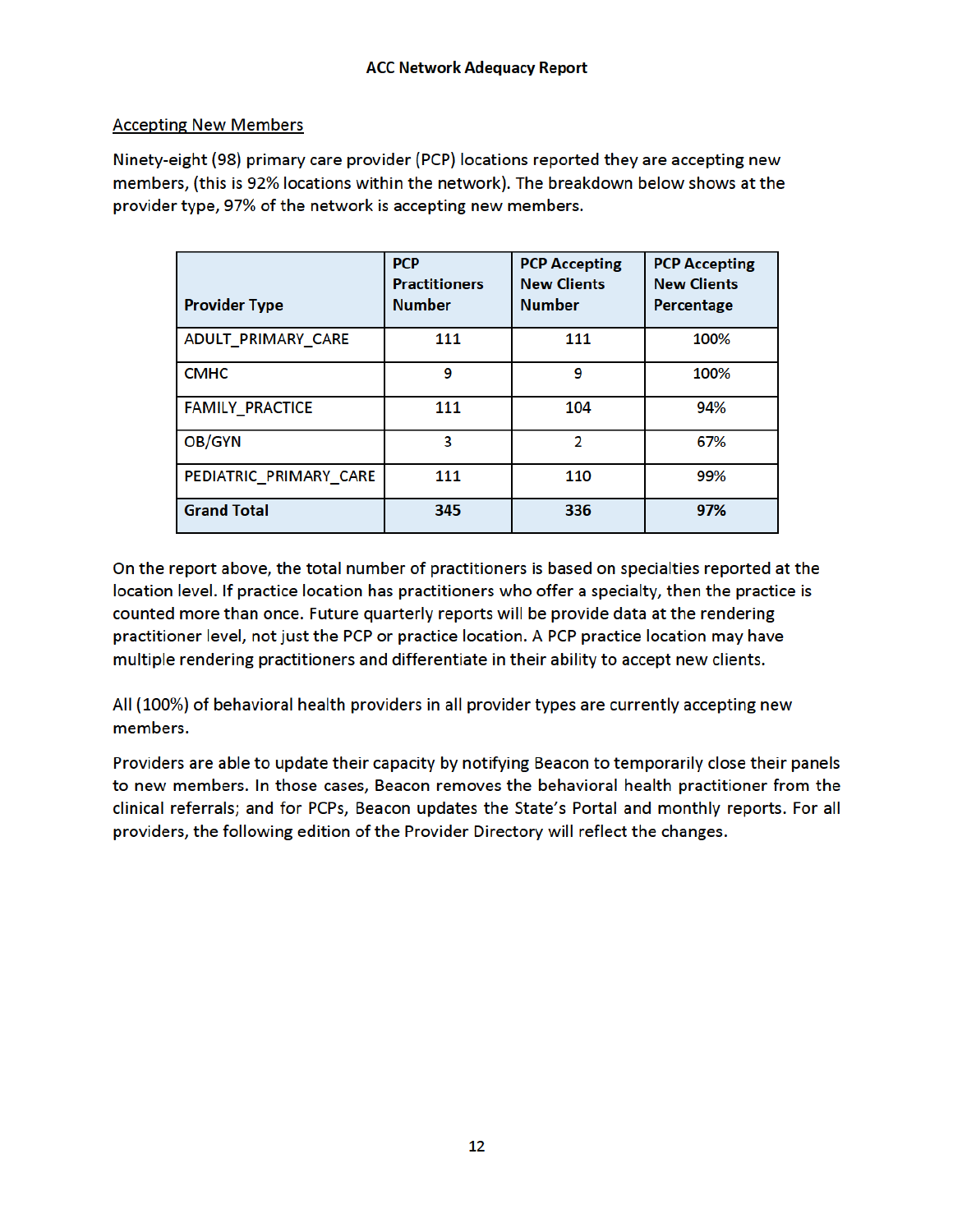## **Accepting New Members**

Ninety-eight (98) primary care provider (PCP) locations reported they are accepting new members, (this is 92% locations within the network). The breakdown below shows at the provider type, 97% of the network is accepting new members.

| <b>Provider Type</b>   | <b>PCP</b><br><b>Practitioners</b><br><b>Number</b> | <b>PCP Accepting</b><br><b>New Clients</b><br><b>Number</b> | <b>PCP Accepting</b><br><b>New Clients</b><br>Percentage |
|------------------------|-----------------------------------------------------|-------------------------------------------------------------|----------------------------------------------------------|
| ADULT PRIMARY CARE     | 111                                                 | 111                                                         | 100%                                                     |
| <b>CMHC</b>            | 9                                                   | 9                                                           | 100%                                                     |
| <b>FAMILY_PRACTICE</b> | 111                                                 | 104                                                         | 94%                                                      |
| OB/GYN                 | 3                                                   | 2                                                           | 67%                                                      |
| PEDIATRIC PRIMARY CARE | 111                                                 | 110                                                         | 99%                                                      |
| <b>Grand Total</b>     | 345                                                 | 336                                                         | 97%                                                      |

On the report above, the total number of practitioners is based on specialties reported at the location level. If practice location has practitioners who offer a specialty, then the practice is counted more than once. Future quarterly reports will be provide data at the rendering practitioner level, not just the PCP or practice location. A PCP practice location may have multiple rendering practitioners and differentiate in their ability to accept new clients.

All (100%) of behavioral health providers in all provider types are currently accepting new members.

Providers are able to update their capacity by notifying Beacon to temporarily close their panels to new members. In those cases, Beacon removes the behavioral health practitioner from the clinical referrals; and for PCPs, Beacon updates the State's Portal and monthly reports. For all providers, the following edition of the Provider Directory will reflect the changes.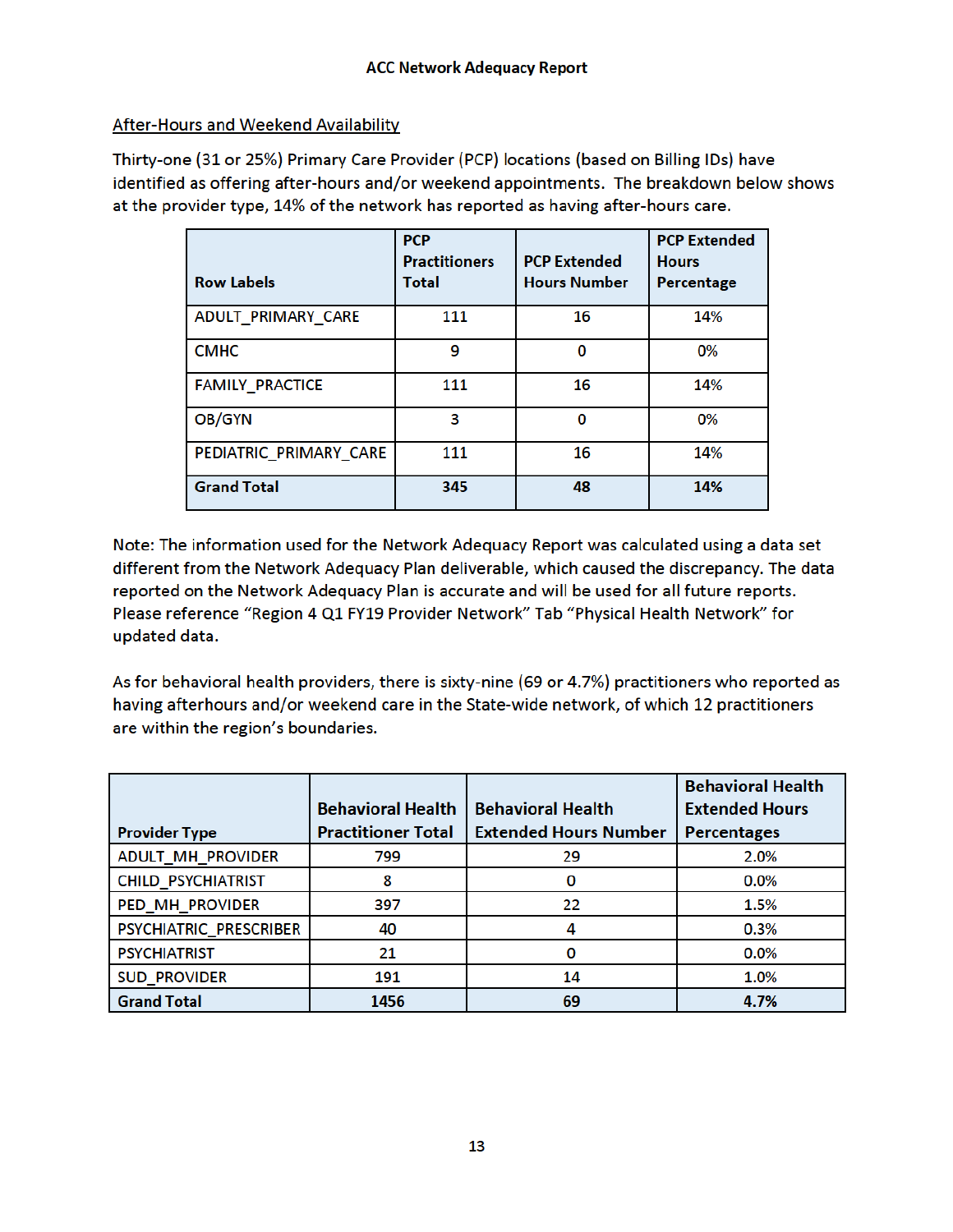# **After-Hours and Weekend Availability**

Thirty-one (31 or 25%) Primary Care Provider (PCP) locations (based on Billing IDs) have identified as offering after-hours and/or weekend appointments. The breakdown below shows at the provider type, 14% of the network has reported as having after-hours care.

| <b>Row Labels</b>      | <b>PCP</b><br><b>Practitioners</b><br>Total | <b>PCP Extended</b><br><b>Hours Number</b> | <b>PCP Extended</b><br><b>Hours</b><br>Percentage |
|------------------------|---------------------------------------------|--------------------------------------------|---------------------------------------------------|
| ADULT_PRIMARY_CARE     | 111                                         | 16                                         | 14%                                               |
| <b>CMHC</b>            | 9                                           | 0                                          | 0%                                                |
| <b>FAMILY_PRACTICE</b> | 111                                         | 16                                         | 14%                                               |
| OB/GYN                 | 3                                           | O                                          | 0%                                                |
| PEDIATRIC_PRIMARY_CARE | 111                                         | 16                                         | 14%                                               |
| <b>Grand Total</b>     | 345                                         | 48                                         | 14%                                               |

Note: The information used for the Network Adequacy Report was calculated using a data set different from the Network Adequacy Plan deliverable, which caused the discrepancy. The data reported on the Network Adequacy Plan is accurate and will be used for all future reports. Please reference "Region 4 Q1 FY19 Provider Network" Tab "Physical Health Network" for updated data.

As for behavioral health providers, there is sixty-nine (69 or 4.7%) practitioners who reported as having afterhours and/or weekend care in the State-wide network, of which 12 practitioners are within the region's boundaries.

|                           |                           |                              | <b>Behavioral Health</b> |
|---------------------------|---------------------------|------------------------------|--------------------------|
|                           | <b>Behavioral Health</b>  | <b>Behavioral Health</b>     | <b>Extended Hours</b>    |
| <b>Provider Type</b>      | <b>Practitioner Total</b> | <b>Extended Hours Number</b> | <b>Percentages</b>       |
| <b>ADULT_MH_PROVIDER</b>  | 799                       | 29                           | 2.0%                     |
| <b>CHILD PSYCHIATRIST</b> | 8                         | 0                            | 0.0%                     |
| <b>PED MH PROVIDER</b>    | 397                       | 22                           | 1.5%                     |
| PSYCHIATRIC PRESCRIBER    | 40                        |                              | 0.3%                     |
| <b>PSYCHIATRIST</b>       | 21                        |                              | $0.0\%$                  |
| <b>SUD PROVIDER</b>       | 191                       | 14                           | 1.0%                     |
| <b>Grand Total</b>        | 1456                      | 69                           | 4.7%                     |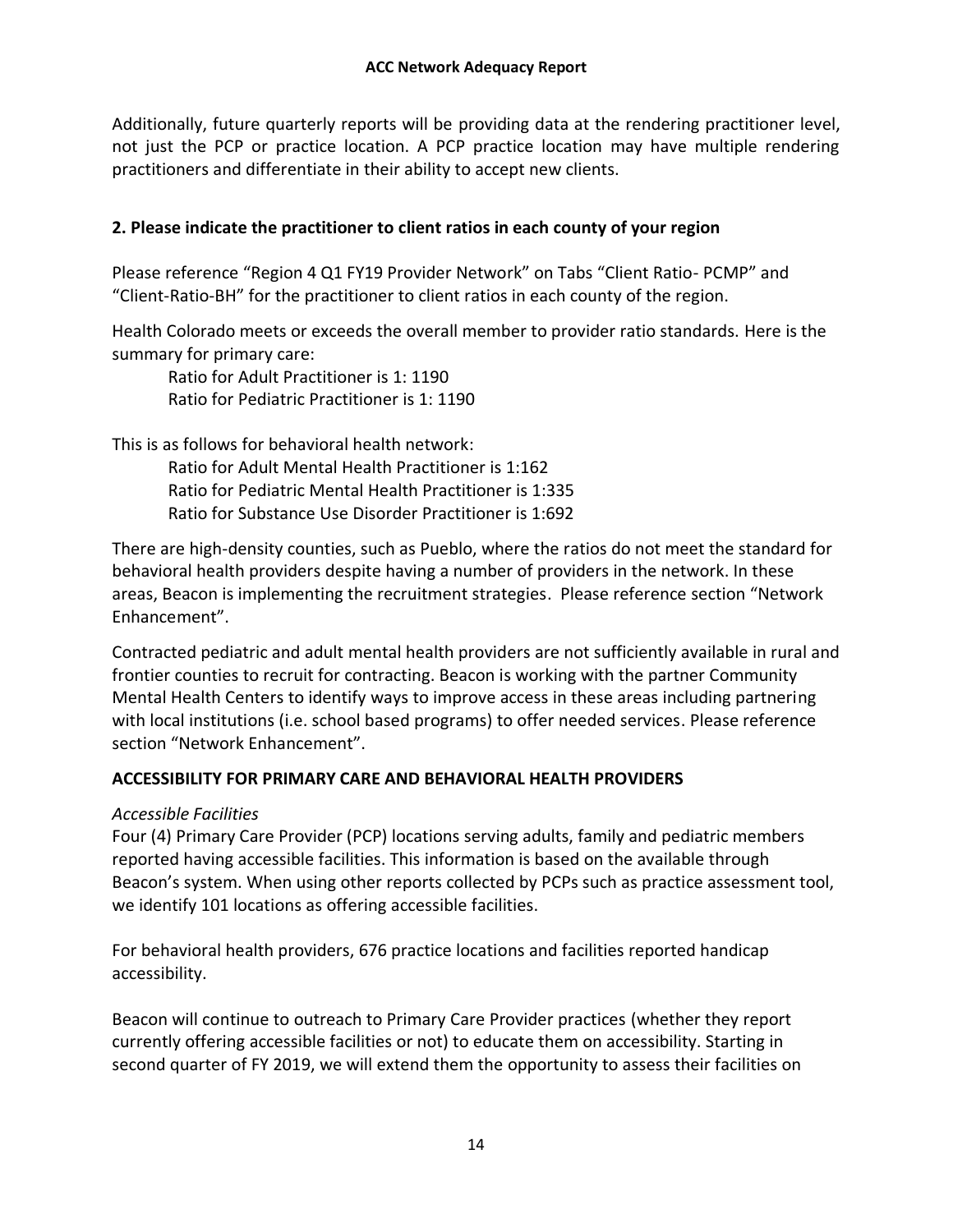Additionally, future quarterly reports will be providing data at the rendering practitioner level, not just the PCP or practice location. A PCP practice location may have multiple rendering practitioners and differentiate in their ability to accept new clients.

# **2. Please indicate the practitioner to client ratios in each county of your region**

Please reference "Region 4 Q1 FY19 Provider Network" on Tabs "Client Ratio- PCMP" and "Client-Ratio-BH" for the practitioner to client ratios in each county of the region.

Health Colorado meets or exceeds the overall member to provider ratio standards. Here is the summary for primary care:

Ratio for Adult Practitioner is 1: 1190 Ratio for Pediatric Practitioner is 1: 1190

This is as follows for behavioral health network:

Ratio for Adult Mental Health Practitioner is 1:162 Ratio for Pediatric Mental Health Practitioner is 1:335 Ratio for Substance Use Disorder Practitioner is 1:692

There are high-density counties, such as Pueblo, where the ratios do not meet the standard for behavioral health providers despite having a number of providers in the network. In these areas, Beacon is implementing the recruitment strategies. Please reference section "Network Enhancement".

Contracted pediatric and adult mental health providers are not sufficiently available in rural and frontier counties to recruit for contracting. Beacon is working with the partner Community Mental Health Centers to identify ways to improve access in these areas including partnering with local institutions (i.e. school based programs) to offer needed services. Please reference section "Network Enhancement".

#### **ACCESSIBILITY FOR PRIMARY CARE AND BEHAVIORAL HEALTH PROVIDERS**

#### *Accessible Facilities*

Four (4) Primary Care Provider (PCP) locations serving adults, family and pediatric members reported having accessible facilities. This information is based on the available through Beacon's system. When using other reports collected by PCPs such as practice assessment tool, we identify 101 locations as offering accessible facilities.

For behavioral health providers, 676 practice locations and facilities reported handicap accessibility.

Beacon will continue to outreach to Primary Care Provider practices (whether they report currently offering accessible facilities or not) to educate them on accessibility. Starting in second quarter of FY 2019, we will extend them the opportunity to assess their facilities on